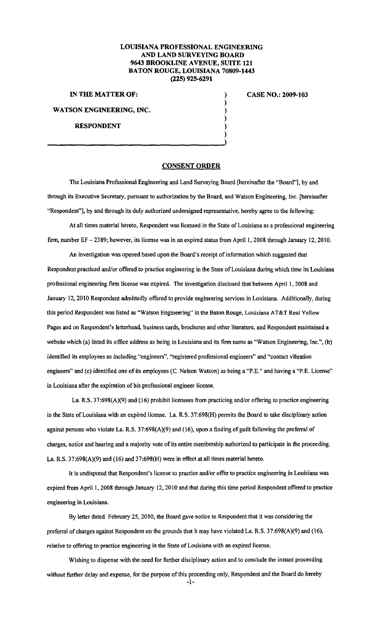## **LOUISIANA PROFESSIONAL ENGINEERING AND LAND SURVEYING BOARD 9643 BROOKLINE AVENUE, SUITE 121 BATON ROUGE, LOUISIANA 70809-1443 (225) 925-6291**

) ) ) ) )

**IN THE MATTER OF:** )

**WATSON ENGINEERING, INC.** 

## **RESPONDENT**

## **CASE NO.: 2009-103**

## **CONSENT ORDER**

The Louisiana Professional Engineering and Land Surveying Board [hereinafter the "Board"], by and through its Executive Secretary, pursuant to authorization by the Board, and Watson Engineering, Inc. [hereinafter "Respondent"], by and through its duly authorized undersigned representative, hereby agree to the following:

At all times material hereto, Respondent was licensed in the State of Louisiana as a professional engineering firm, number EF - 2389; however, its license was in an expired status from April 1, 2008 through January 12, 2010.

An investigation was opened based upon the Board's receipt of information which suggested that Respondent practiced and/or offered to practice engineering in the State of Louisiana during which time its Louisiana professional engineering firm license was expired. The investigation disclosed that between April 1, 2008 and January 12, 2010 Respondent admittedly offered to provide engineering services in Louisiana. Additionally, during this period Respondent was listed as "Watson Engineering" in the Baton Rouge, Louisiana AT&T Real Yellow Pages and on Respondent's letterhead, business cards, brochures and other literature, and Respondent maintained a website which (a) listed its office address as being in Louisiana and its firm name as "Watson Engineering, Inc.", (b) identified its employees as including "engineers", ''registered professional engineers" and "contact vibration engineers" and (c) identified one of its employees (C. Nelson Watson) as being a "P.E." and having a "P.E. License" in Louisiana after the expiration of his professional engineer license.

La. R.S. 37:698(A)(9) and (16) prohibit licensees from practicing and/or offering to practice engineering in the State of Louisiana with an expired license. La. R.S. 37:698(H) permits the Board to take disciplinary action against persons who violate La. R.S. 37:698(A)(9) and (16), upon a finding of guilt following the preferral of charges, notice and hearing and a majority vote of its entire membership authorized to participate in the proceeding. La. R.S. 37:698(A)(9) and (16) and 37:698(H) were in effect at all times material hereto.

It is undisputed that Respondent's license to practice and/or offer to practice engineering in Louisiana was expired from April 1, 2008 through January 12, 2010 and that during this time period Respondent offered to practice **engineering in Louisiana.** 

By letter dated February 25, 2010, the Board gave notice to Respondent that it was considering the preferral of charges against Respondent on the grounds that it may have violated La. R.S. 37:698(A)(9) and (16), relative to offering to practice engineering in the State of Louisiana with an expired license.

Wishing to dispense with the need for further disciplinary action and to conclude the instant proceeding without further delay and expense, for the purpose of this proceeding only, Respondent and the Board do hereby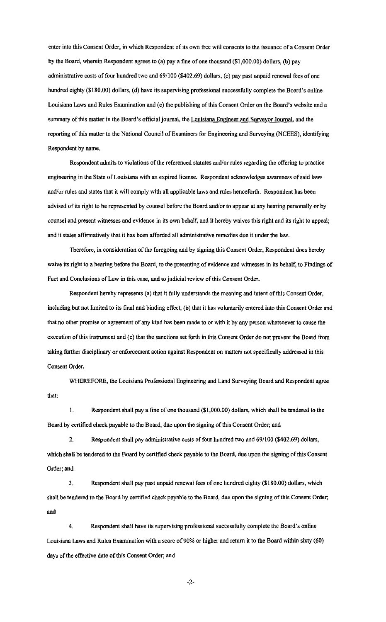enter into this Consent Order, in which Respondent of its own free will consents to the issuance of a Consent Order by the Board, wherein Respondent agrees to (a) pay a fine of one thousand (\$1,000.00) dollars, (b) pay administrative costs of four hundred two and 691100 (\$402.69) dollars, (c) pay past unpaid renewal fees of one hundred eighty (\$180.00) dollars, (d) have its supervising professional successfully complete the Board's online Louisiana Laws and Rules Examination and (e) the publishing of this Consent Order on the Board's website and a summary of this matter in the Board's official journal, the Louisiana Engineer and Surveyor Journal, and the reporting of this matter to the National Council of Examiners for Engineering and Surveying (NCEES), identifying Respondent by name.

Respondent admits to violations of the referenced statutes and/or rules regarding the offering to practice engineering in the State of Louisiana with an expired license. Respondent acknowledges awareness of said laws and/or rules and states that it will comply with all applicable laws and rules henceforth. Respondent has been advised of its right to be represented by counsel before the Board and/or to appear at any hearing personally or by counsel and present witnesses and evidence in its own behalf, and it hereby waives this right and its right to appeal; and it states affirmatively that it has been afforded all administrative remedies due it under the law.

Therefore, in consideration of the foregoing and by signing this Consent Order, Respondent does hereby waive its right to a hearing before the Board, to the presenting of evidence and witnesses in its behalf, to Findings of Fact and Conclusions of Law in this case, and to judicial review of this Consent Order.

Respondent hereby represents (a) that it fully understands the meaning and intent of this Consent Order, including but not limited to its final and binding effect, (b) that it has voluntarily entered into this Consent Order and that no other promise or agreement of any kind has been made to or with it by any person whatsoever to cause the execution of this instrument and (c) that the sanctions set forth in this Consent Order do not prevent the Board from taking further disciplinary or enforcement action against Respondent on matters not specifically addressed in this Consent Order.

WHEREFORE, the Louisiana Professional Engineering and Land Surveying Board and Respondent agree that:

I. Respondent shall pay a fine of one thousand (\$1,000.00) dollars, which shall be tendered to the Board by certified check payable to the Board, due upon the signing of this Consent Order; and

2. Respondent shall pay administrative costs offour hundred two and 69/100 (\$402.69) dollars, which shall be tendered to the Board by certified check payable to the Board, due upon the signing of this Consent Order; and

3. Respondent shall pay past unpaid renewal fees of one hundred eighty (\$180.00) dollars, which shall be tendered to the Board by certified check payable to the Board, due upon the signing of this Consent Order; and

4. Respondent shall have its supervising professional successfully complete the Board's online Louisiana Laws and Rules Examination with a score of 90% or higher and return it to the Board within sixty (60) days of the effective date of this Consent Order; and

-2-